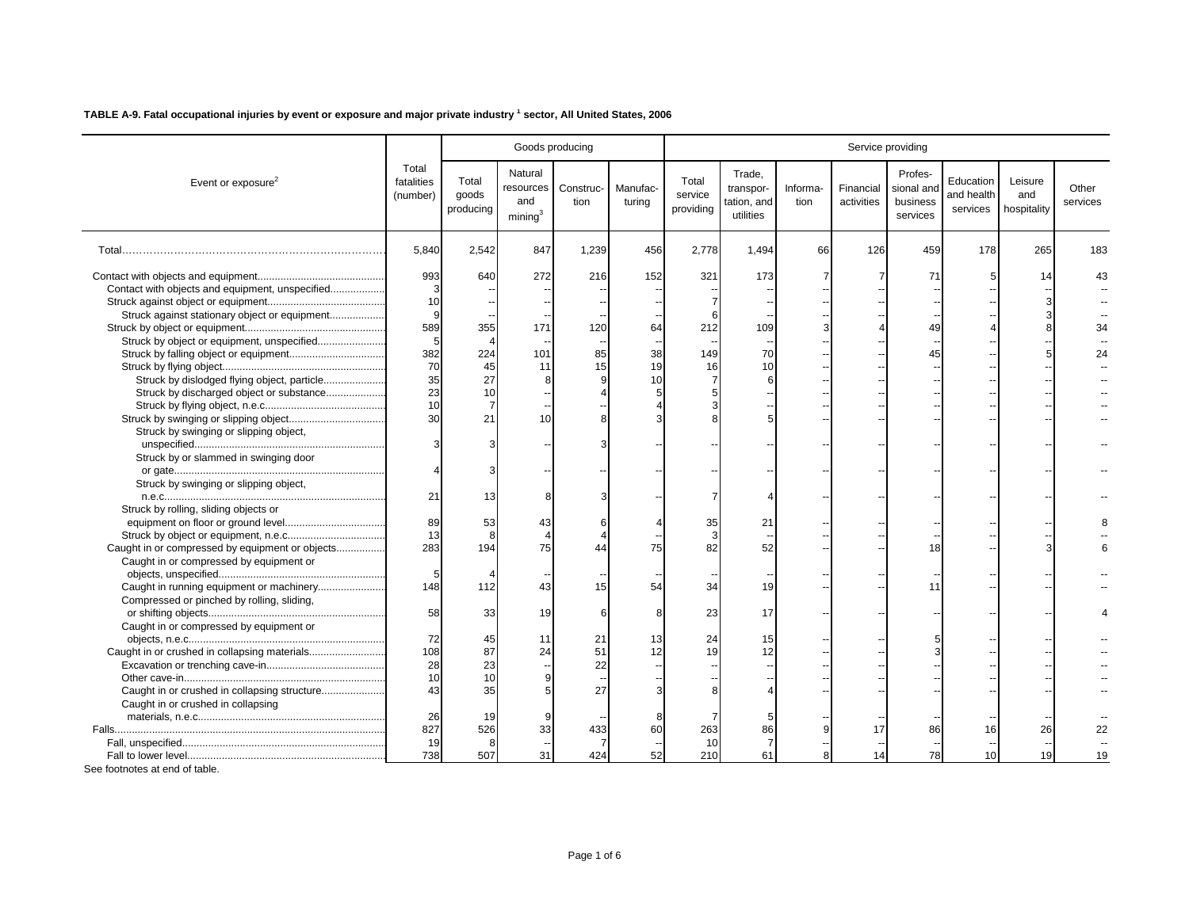|                                                 |                                 |                             |                                                    | Goods producing   |                    | Service providing             |                                                 |                  |                         |                                               |                                     |                               |                   |  |
|-------------------------------------------------|---------------------------------|-----------------------------|----------------------------------------------------|-------------------|--------------------|-------------------------------|-------------------------------------------------|------------------|-------------------------|-----------------------------------------------|-------------------------------------|-------------------------------|-------------------|--|
| Event or exposure <sup>2</sup>                  | Total<br>fatalities<br>(number) | Total<br>goods<br>producing | Natural<br>resources<br>and<br>mining <sup>3</sup> | Construc-<br>tion | Manufac-<br>turina | Total<br>service<br>providing | Trade,<br>transpor-<br>tation, and<br>utilities | Informa-<br>tion | Financial<br>activities | Profes-<br>sional and<br>business<br>services | Education<br>and health<br>services | Leisure<br>and<br>hospitality | Other<br>services |  |
|                                                 | 5,840                           | 2,542                       | 847                                                | 1,239             | 456                | 2,778                         | 1,494                                           | 66               | 126                     | 459                                           | 178                                 | 265                           | 183               |  |
|                                                 | 993                             | 640                         | 272                                                | 216               | 152                | 321                           | 173                                             |                  |                         | 71                                            |                                     | 14                            |                   |  |
| Contact with objects and equipment, unspecified | 3                               |                             |                                                    |                   |                    |                               |                                                 |                  |                         |                                               |                                     |                               |                   |  |
|                                                 | 10                              |                             |                                                    |                   |                    |                               |                                                 |                  |                         |                                               |                                     |                               |                   |  |
| Struck against stationary object or equipment   | 9                               |                             |                                                    |                   |                    |                               |                                                 |                  |                         |                                               |                                     |                               |                   |  |
|                                                 | 589                             | 355                         | 171                                                | 120               | 64                 | 212                           | 109                                             |                  |                         | 49                                            |                                     |                               |                   |  |
|                                                 | 5                               |                             |                                                    |                   |                    |                               |                                                 |                  |                         |                                               |                                     |                               |                   |  |
|                                                 | 382                             | 224                         | 101                                                | 85                | 38                 | 149                           | 70                                              |                  |                         | 45                                            |                                     |                               | 24                |  |
|                                                 | 70                              | 45                          | 11                                                 | 15                | 19                 | 16                            | 10                                              |                  |                         |                                               |                                     |                               |                   |  |
| Struck by dislodged flying object, particle     | 35                              | 27                          |                                                    |                   | 10                 |                               | 6                                               |                  |                         |                                               |                                     |                               |                   |  |
| Struck by discharged object or substance        | 23                              | 10                          |                                                    |                   |                    |                               |                                                 |                  |                         |                                               |                                     |                               |                   |  |
|                                                 | 10                              |                             |                                                    |                   |                    |                               |                                                 |                  |                         |                                               |                                     |                               |                   |  |
|                                                 | 30                              | 21                          | 10                                                 |                   |                    |                               |                                                 |                  |                         |                                               |                                     |                               |                   |  |
| Struck by swinging or slipping object,          |                                 |                             |                                                    |                   |                    |                               |                                                 |                  |                         |                                               |                                     |                               |                   |  |
|                                                 |                                 |                             |                                                    |                   |                    |                               |                                                 |                  |                         |                                               |                                     |                               |                   |  |
| Struck by or slammed in swinging door           |                                 |                             |                                                    |                   |                    |                               |                                                 |                  |                         |                                               |                                     |                               |                   |  |
|                                                 |                                 |                             |                                                    |                   |                    |                               |                                                 |                  |                         |                                               |                                     |                               |                   |  |
| Struck by swinging or slipping object,          |                                 |                             |                                                    |                   |                    |                               |                                                 |                  |                         |                                               |                                     |                               |                   |  |
|                                                 | 21                              | 13                          |                                                    |                   |                    |                               |                                                 |                  |                         |                                               |                                     |                               |                   |  |
| Struck by rolling, sliding objects or           |                                 |                             |                                                    |                   |                    |                               |                                                 |                  |                         |                                               |                                     |                               |                   |  |
|                                                 | 89                              | 53                          | 43                                                 |                   |                    | 35                            | 21                                              |                  |                         |                                               |                                     |                               |                   |  |
|                                                 | 13                              | 8                           |                                                    |                   |                    |                               |                                                 |                  |                         |                                               |                                     |                               |                   |  |
| Caught in or compressed by equipment or objects | 283                             | 194                         | 75                                                 | 44                | 75                 | 82                            | 52                                              |                  |                         | 18                                            |                                     |                               |                   |  |
| Caught in or compressed by equipment or         |                                 |                             |                                                    |                   |                    |                               |                                                 |                  |                         |                                               |                                     |                               |                   |  |
|                                                 | 5                               |                             |                                                    |                   |                    |                               |                                                 |                  |                         |                                               |                                     |                               |                   |  |
|                                                 | 148                             | 112                         | 43                                                 | 15                | 54                 | 34                            | 19                                              |                  |                         | 11                                            |                                     |                               |                   |  |
| Compressed or pinched by rolling, sliding,      |                                 |                             |                                                    |                   |                    |                               |                                                 |                  |                         |                                               |                                     |                               |                   |  |
|                                                 | 58                              | 33                          | 19                                                 |                   |                    | 23                            | 17                                              |                  |                         |                                               |                                     |                               |                   |  |
| Caught in or compressed by equipment or         |                                 |                             |                                                    |                   |                    |                               |                                                 |                  |                         |                                               |                                     |                               |                   |  |
|                                                 | 72                              | 45                          | 11                                                 | 21                | 13                 | 24                            | 15                                              |                  |                         |                                               |                                     |                               |                   |  |
|                                                 | 108                             | 87                          | 24                                                 | 51                | 12                 | 19                            | 12                                              |                  |                         |                                               |                                     |                               |                   |  |
|                                                 | 28                              | 23                          |                                                    | 22                |                    |                               |                                                 |                  |                         |                                               |                                     |                               |                   |  |
|                                                 | 10                              | 10                          |                                                    |                   |                    |                               |                                                 |                  |                         |                                               |                                     |                               |                   |  |
| Caught in or crushed in collapsing structure    | 43                              | 35                          |                                                    | 27                |                    |                               |                                                 |                  |                         |                                               |                                     |                               |                   |  |
|                                                 |                                 |                             |                                                    |                   |                    |                               |                                                 |                  |                         |                                               |                                     |                               |                   |  |
| Caught in or crushed in collapsing              | 26                              | 19                          |                                                    |                   |                    |                               |                                                 |                  |                         |                                               |                                     |                               |                   |  |
|                                                 | 827                             | 526                         | 33                                                 | 433               | 60                 | 263                           | 86                                              |                  | 17                      | 86                                            | 16                                  | 26                            |                   |  |
|                                                 | 19                              | 8                           |                                                    |                   |                    | 10                            |                                                 |                  |                         |                                               |                                     |                               |                   |  |
|                                                 | 738                             | 507                         | 31                                                 | 424               | 52                 | 210                           | 61                                              |                  | 14                      | 78                                            | 10                                  | 19                            | 19                |  |
|                                                 |                                 |                             |                                                    |                   |                    |                               |                                                 |                  |                         |                                               |                                     |                               |                   |  |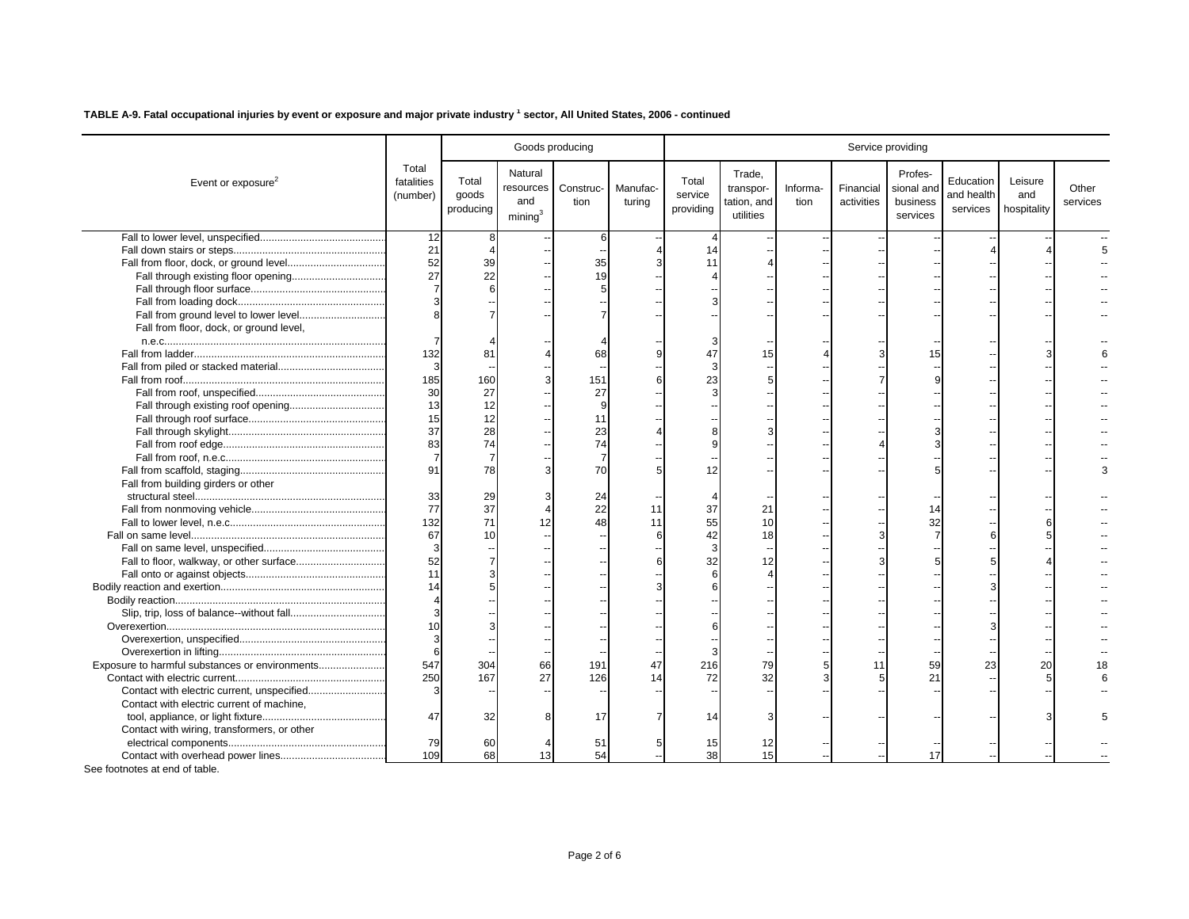|                                                                                                                                                                                                                                                                                                                                                                                                                     |                                                    | Service providing |  |  |  |  |  |  |  |  |
|---------------------------------------------------------------------------------------------------------------------------------------------------------------------------------------------------------------------------------------------------------------------------------------------------------------------------------------------------------------------------------------------------------------------|----------------------------------------------------|-------------------|--|--|--|--|--|--|--|--|
| Total<br>Natural<br>Trade,<br>Profes-<br>Total<br>fatalities<br>Total<br>Education<br>Event or exposure $2$<br>Construc-<br>Manufac-<br>Financial<br>sional and<br>resources<br>transpor-<br>Informa-<br>service<br>and health<br>goods<br>(number)<br>and<br>activities<br>business<br>tion<br>turing<br>tation, and<br>tion<br>services<br>producing<br>providing<br>mining <sup>3</sup><br>utilities<br>services | Leisure<br>Other<br>and<br>services<br>hospitality |                   |  |  |  |  |  |  |  |  |
| 12<br>8<br>6                                                                                                                                                                                                                                                                                                                                                                                                        |                                                    |                   |  |  |  |  |  |  |  |  |
| 21<br>14                                                                                                                                                                                                                                                                                                                                                                                                            |                                                    |                   |  |  |  |  |  |  |  |  |
| 52<br>39<br>35<br>11                                                                                                                                                                                                                                                                                                                                                                                                |                                                    |                   |  |  |  |  |  |  |  |  |
| 27<br>22<br>19                                                                                                                                                                                                                                                                                                                                                                                                      |                                                    |                   |  |  |  |  |  |  |  |  |
|                                                                                                                                                                                                                                                                                                                                                                                                                     |                                                    |                   |  |  |  |  |  |  |  |  |
|                                                                                                                                                                                                                                                                                                                                                                                                                     |                                                    |                   |  |  |  |  |  |  |  |  |
|                                                                                                                                                                                                                                                                                                                                                                                                                     |                                                    |                   |  |  |  |  |  |  |  |  |
| Fall from floor, dock, or ground level,                                                                                                                                                                                                                                                                                                                                                                             |                                                    |                   |  |  |  |  |  |  |  |  |
| 7                                                                                                                                                                                                                                                                                                                                                                                                                   |                                                    |                   |  |  |  |  |  |  |  |  |
| 132<br>81<br>68<br>47<br>15<br>15                                                                                                                                                                                                                                                                                                                                                                                   |                                                    |                   |  |  |  |  |  |  |  |  |
| 3                                                                                                                                                                                                                                                                                                                                                                                                                   |                                                    |                   |  |  |  |  |  |  |  |  |
| 185<br>160<br>151<br>23                                                                                                                                                                                                                                                                                                                                                                                             |                                                    |                   |  |  |  |  |  |  |  |  |
| 30<br>27<br>27                                                                                                                                                                                                                                                                                                                                                                                                      |                                                    |                   |  |  |  |  |  |  |  |  |
| 13<br>12                                                                                                                                                                                                                                                                                                                                                                                                            |                                                    |                   |  |  |  |  |  |  |  |  |
| 15<br>12<br>11                                                                                                                                                                                                                                                                                                                                                                                                      |                                                    |                   |  |  |  |  |  |  |  |  |
| 37<br>28<br>23                                                                                                                                                                                                                                                                                                                                                                                                      |                                                    |                   |  |  |  |  |  |  |  |  |
| 83<br>74<br>74                                                                                                                                                                                                                                                                                                                                                                                                      |                                                    |                   |  |  |  |  |  |  |  |  |
| $\overline{7}$                                                                                                                                                                                                                                                                                                                                                                                                      |                                                    |                   |  |  |  |  |  |  |  |  |
| 91<br>78<br>70<br>12                                                                                                                                                                                                                                                                                                                                                                                                |                                                    |                   |  |  |  |  |  |  |  |  |
| Fall from building girders or other                                                                                                                                                                                                                                                                                                                                                                                 |                                                    |                   |  |  |  |  |  |  |  |  |
| 33<br>29<br>24                                                                                                                                                                                                                                                                                                                                                                                                      |                                                    |                   |  |  |  |  |  |  |  |  |
| 77<br>37<br>22<br>37<br>21<br>11                                                                                                                                                                                                                                                                                                                                                                                    |                                                    |                   |  |  |  |  |  |  |  |  |
| 132<br>32<br>71<br>48<br>55<br>10<br>12<br>11                                                                                                                                                                                                                                                                                                                                                                       |                                                    |                   |  |  |  |  |  |  |  |  |
| 67<br>42<br>10<br>18                                                                                                                                                                                                                                                                                                                                                                                                |                                                    |                   |  |  |  |  |  |  |  |  |
| $\sqrt{3}$                                                                                                                                                                                                                                                                                                                                                                                                          |                                                    |                   |  |  |  |  |  |  |  |  |
| 52<br>32<br>12                                                                                                                                                                                                                                                                                                                                                                                                      |                                                    |                   |  |  |  |  |  |  |  |  |
| 11                                                                                                                                                                                                                                                                                                                                                                                                                  |                                                    |                   |  |  |  |  |  |  |  |  |
| 14                                                                                                                                                                                                                                                                                                                                                                                                                  |                                                    |                   |  |  |  |  |  |  |  |  |
|                                                                                                                                                                                                                                                                                                                                                                                                                     |                                                    |                   |  |  |  |  |  |  |  |  |
|                                                                                                                                                                                                                                                                                                                                                                                                                     |                                                    |                   |  |  |  |  |  |  |  |  |
| 10                                                                                                                                                                                                                                                                                                                                                                                                                  |                                                    |                   |  |  |  |  |  |  |  |  |
| 3                                                                                                                                                                                                                                                                                                                                                                                                                   |                                                    |                   |  |  |  |  |  |  |  |  |
| 6                                                                                                                                                                                                                                                                                                                                                                                                                   |                                                    |                   |  |  |  |  |  |  |  |  |
| 547<br>Exposure to harmful substances or environments<br>304<br>66<br>191<br>59<br>23<br>47<br>216<br>79                                                                                                                                                                                                                                                                                                            | 20                                                 |                   |  |  |  |  |  |  |  |  |
| 250<br>167<br>27<br>32<br>21<br>126<br>72                                                                                                                                                                                                                                                                                                                                                                           |                                                    |                   |  |  |  |  |  |  |  |  |
| Contact with electric current, unspecified                                                                                                                                                                                                                                                                                                                                                                          |                                                    |                   |  |  |  |  |  |  |  |  |
| Contact with electric current of machine,                                                                                                                                                                                                                                                                                                                                                                           |                                                    |                   |  |  |  |  |  |  |  |  |
| 47<br>32<br>17<br>14                                                                                                                                                                                                                                                                                                                                                                                                |                                                    |                   |  |  |  |  |  |  |  |  |
| Contact with wiring, transformers, or other                                                                                                                                                                                                                                                                                                                                                                         |                                                    |                   |  |  |  |  |  |  |  |  |
| 79<br>60<br>51<br>15<br>12                                                                                                                                                                                                                                                                                                                                                                                          |                                                    |                   |  |  |  |  |  |  |  |  |
| 109<br>68<br>54<br>38<br>15<br>13<br>17                                                                                                                                                                                                                                                                                                                                                                             |                                                    |                   |  |  |  |  |  |  |  |  |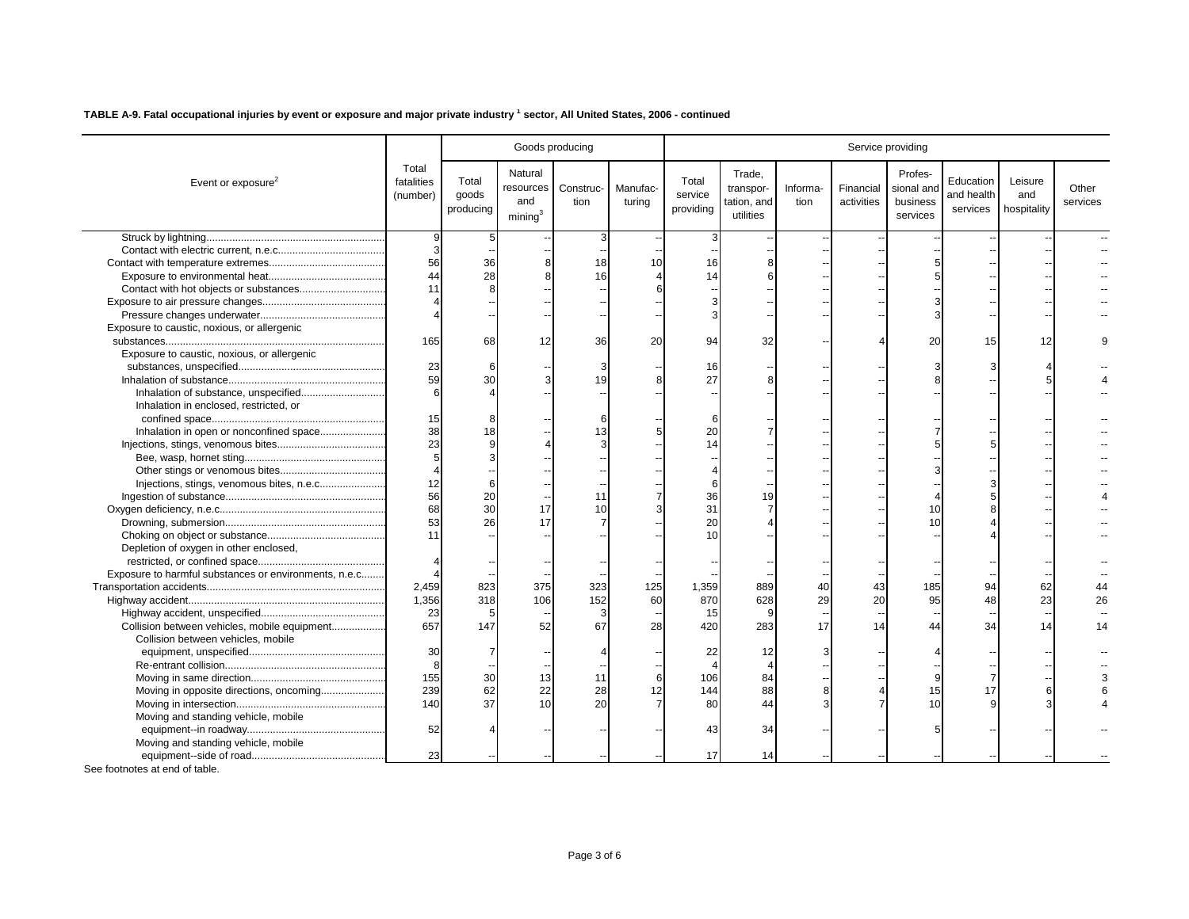|                                                       |                                 |                             |                                                    | Goods producing   |                    | Service providing             |                                                 |                  |                         |                                               |                                     |                               |                   |  |
|-------------------------------------------------------|---------------------------------|-----------------------------|----------------------------------------------------|-------------------|--------------------|-------------------------------|-------------------------------------------------|------------------|-------------------------|-----------------------------------------------|-------------------------------------|-------------------------------|-------------------|--|
| Event or exposure <sup>2</sup>                        | Total<br>fatalities<br>(number) | Total<br>goods<br>producing | Natural<br>resources<br>and<br>mining <sup>3</sup> | Construc-<br>tion | Manufac-<br>turing | Total<br>service<br>providing | Trade.<br>transpor-<br>tation, and<br>utilities | Informa-<br>tion | Financial<br>activities | Profes-<br>sional and<br>business<br>services | Education<br>and health<br>services | Leisure<br>and<br>hospitality | Other<br>services |  |
|                                                       | 9                               | 5                           |                                                    |                   |                    |                               |                                                 |                  |                         |                                               |                                     |                               |                   |  |
|                                                       | 3                               |                             |                                                    |                   |                    |                               |                                                 |                  |                         |                                               |                                     |                               |                   |  |
|                                                       | 56                              | 36                          |                                                    | 18                | 10                 | 16                            |                                                 |                  |                         |                                               |                                     |                               |                   |  |
|                                                       | 44                              | 28                          |                                                    | 16                |                    | 14                            |                                                 |                  |                         |                                               |                                     |                               |                   |  |
|                                                       | 11                              |                             |                                                    |                   |                    |                               |                                                 |                  |                         |                                               |                                     |                               |                   |  |
|                                                       |                                 |                             |                                                    |                   |                    |                               |                                                 |                  |                         |                                               |                                     |                               |                   |  |
|                                                       |                                 |                             |                                                    |                   |                    |                               |                                                 |                  |                         |                                               |                                     |                               |                   |  |
| Exposure to caustic, noxious, or allergenic           |                                 |                             |                                                    |                   |                    |                               |                                                 |                  |                         |                                               |                                     |                               |                   |  |
|                                                       | 165                             | 68                          | 12                                                 | 36                | 20                 | 94                            | 32                                              |                  |                         | 20                                            | 15                                  | 12                            |                   |  |
| Exposure to caustic, noxious, or allergenic           |                                 |                             |                                                    |                   |                    |                               |                                                 |                  |                         |                                               |                                     |                               |                   |  |
|                                                       | 23                              | 6                           |                                                    |                   |                    | 16                            |                                                 |                  |                         |                                               |                                     |                               |                   |  |
|                                                       | 59                              | 30                          |                                                    | 19                |                    | 27                            |                                                 |                  |                         |                                               |                                     |                               |                   |  |
| Inhalation of substance, unspecified                  | 6                               |                             |                                                    |                   |                    |                               |                                                 |                  |                         |                                               |                                     |                               |                   |  |
| Inhalation in enclosed, restricted, or                |                                 |                             |                                                    |                   |                    |                               |                                                 |                  |                         |                                               |                                     |                               |                   |  |
|                                                       | 15                              |                             |                                                    |                   |                    |                               |                                                 |                  |                         |                                               |                                     |                               |                   |  |
| Inhalation in open or nonconfined space               | 38                              | 18                          |                                                    | 13                |                    | 20                            |                                                 |                  |                         |                                               |                                     |                               |                   |  |
|                                                       | 23                              |                             |                                                    |                   |                    | 14                            |                                                 |                  |                         |                                               |                                     |                               |                   |  |
|                                                       | 5                               |                             |                                                    |                   |                    |                               |                                                 |                  |                         |                                               |                                     |                               |                   |  |
|                                                       |                                 |                             |                                                    |                   |                    |                               |                                                 |                  |                         |                                               |                                     |                               |                   |  |
| Injections, stings, venomous bites, n.e.c             | 12                              |                             |                                                    |                   |                    |                               |                                                 |                  |                         |                                               |                                     |                               |                   |  |
|                                                       | 56                              | 20                          |                                                    | 11                |                    | 36                            | 19                                              |                  |                         |                                               |                                     |                               |                   |  |
|                                                       | 68                              | 30                          | 17                                                 | 10                |                    | 31                            |                                                 |                  |                         | 10                                            |                                     |                               |                   |  |
|                                                       | 53                              | 26                          | 17                                                 |                   |                    | 20                            |                                                 |                  |                         | 10                                            |                                     |                               |                   |  |
|                                                       | 11                              |                             |                                                    |                   |                    | 10                            |                                                 |                  |                         |                                               |                                     |                               |                   |  |
| Depletion of oxygen in other enclosed,                |                                 |                             |                                                    |                   |                    |                               |                                                 |                  |                         |                                               |                                     |                               |                   |  |
|                                                       |                                 |                             |                                                    |                   |                    |                               |                                                 |                  |                         |                                               |                                     |                               |                   |  |
| Exposure to harmful substances or environments, n.e.c |                                 |                             |                                                    |                   |                    |                               |                                                 |                  |                         |                                               |                                     |                               |                   |  |
|                                                       | 2,459                           | 823                         | 375                                                | 323               | 125                | 1,359                         | 889                                             | 40               | 43                      | 185                                           | 94                                  | 62                            |                   |  |
|                                                       | 1,356                           | 318                         | 106                                                | 152               | 60                 | 870                           | 628                                             | 29               | 20                      | 95                                            | 48                                  | 23                            | 26                |  |
|                                                       | 23                              | 5                           |                                                    |                   |                    | 15                            | 9                                               |                  |                         |                                               |                                     |                               |                   |  |
| Collision between vehicles, mobile equipment          | 657                             | 147                         | 52                                                 | 67                | 28                 | 420                           | 283                                             | 17               | 14                      | 44                                            | 34                                  | 14                            | 14                |  |
| Collision between vehicles, mobile                    |                                 |                             |                                                    |                   |                    |                               |                                                 |                  |                         |                                               |                                     |                               |                   |  |
|                                                       | 30                              |                             |                                                    |                   |                    | 22                            | 12                                              |                  |                         |                                               |                                     |                               |                   |  |
|                                                       | 8                               |                             |                                                    |                   |                    |                               |                                                 |                  |                         |                                               |                                     |                               |                   |  |
|                                                       | 155                             | 30                          | 13                                                 | 11                |                    | 106                           | 84                                              |                  |                         |                                               |                                     |                               |                   |  |
| Moving in opposite directions, oncoming               | 239                             | 62                          | 22                                                 | 28                | 12                 | 144                           | 88                                              |                  |                         | 15                                            | 17                                  |                               |                   |  |
|                                                       | 140                             | 37                          | 10                                                 | 20                |                    | 80                            | 44                                              |                  |                         | 10                                            |                                     |                               |                   |  |
| Moving and standing vehicle, mobile                   |                                 |                             |                                                    |                   |                    |                               |                                                 |                  |                         |                                               |                                     |                               |                   |  |
|                                                       | 52                              |                             |                                                    |                   |                    | 43                            | 34                                              |                  |                         |                                               |                                     |                               |                   |  |
| Moving and standing vehicle, mobile                   |                                 |                             |                                                    |                   |                    |                               |                                                 |                  |                         |                                               |                                     |                               |                   |  |
|                                                       | 23                              |                             |                                                    |                   |                    | 17                            | 14                                              |                  |                         |                                               |                                     |                               |                   |  |
|                                                       |                                 |                             |                                                    |                   |                    |                               |                                                 |                  |                         |                                               |                                     |                               |                   |  |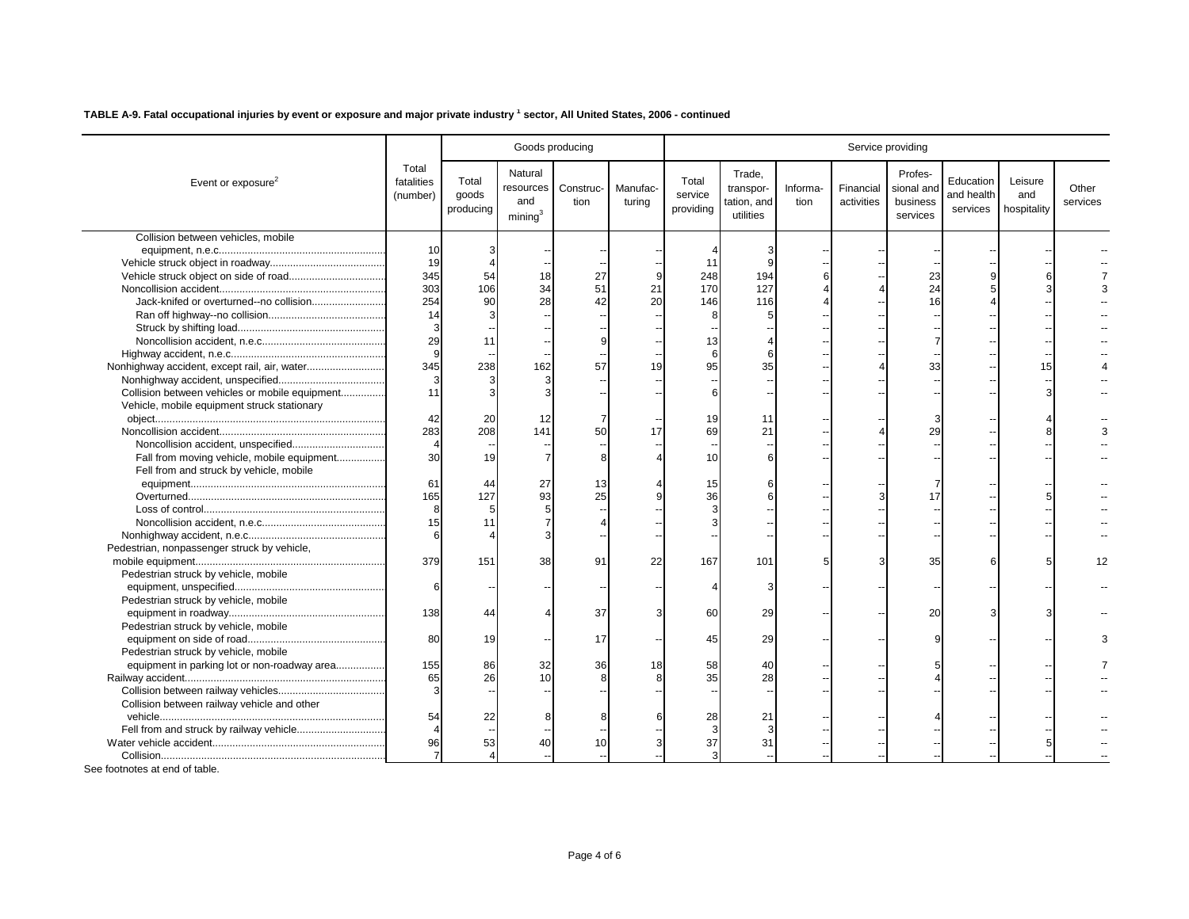| Total<br>Natural<br>Trade,<br>Profes-<br>fatalities<br>Total<br>Total<br>Education<br>Leisure<br>Event or exposure <sup>2</sup><br>Manufac-<br>sional and<br>Other<br>resources<br>Construc-<br>Informa-<br>Financial<br>transpor-<br>service<br>and health<br>goods<br>and<br>(number)<br>and<br>activities<br>business<br>tion<br>turing<br>tation, and<br>tion<br>services<br>hospitality<br>producing<br>providing<br>services<br>mining <sup>3</sup><br>utilities<br>services<br>Collision between vehicles, mobile<br>10<br>19<br>11<br>345<br>54<br>27<br>248<br>194<br>23<br>18<br>303<br>106<br>34<br>51<br>21<br>170<br>127<br>24<br>254<br>Jack-knifed or overturned--no collision<br>90<br>28<br>20<br>16<br>42<br>146<br>116<br>14<br>3<br>29<br>11<br>13<br>9<br>6<br>345<br>Nonhighway accident, except rail, air, water<br>238<br>162<br>57<br>95<br>35<br>33<br>15<br>19<br>3<br>11<br>Collision between vehicles or mobile equipment<br>Vehicle, mobile equipment struck stationary<br>42<br>20<br>19<br>12<br>11<br>283<br>208<br>29<br>141<br>50<br>69<br>21<br>17<br>30<br>Fall from moving vehicle, mobile equipment<br>19<br>10<br>Fell from and struck by vehicle, mobile<br>61<br>27<br>15<br>44<br>13<br>165<br>127<br>93<br>25<br>36<br>$\mathbf{8}$<br>15<br>11<br>6<br>Pedestrian, nonpassenger struck by vehicle,<br>379<br>151<br>38<br>91<br>22<br>167<br>101<br>35<br>12<br>Pedestrian struck by vehicle, mobile<br>6<br>Pedestrian struck by vehicle, mobile<br>138<br>37<br>60<br>20<br>29<br>44<br>Pedestrian struck by vehicle, mobile<br>80<br>19<br>17<br>45<br>29<br>Pedestrian struck by vehicle, mobile<br>equipment in parking lot or non-roadway area<br>155<br>86<br>32<br>36<br>18<br>58<br>40<br>65<br>26<br>10<br>35<br>28<br>3<br>Collision between railway vehicle and other<br>54<br>22<br>28<br>21<br>96<br>53<br>37<br>40<br>10<br>31 |  |  | Goods producing | Service providing |  |  |  |  |  |  |  |  |
|--------------------------------------------------------------------------------------------------------------------------------------------------------------------------------------------------------------------------------------------------------------------------------------------------------------------------------------------------------------------------------------------------------------------------------------------------------------------------------------------------------------------------------------------------------------------------------------------------------------------------------------------------------------------------------------------------------------------------------------------------------------------------------------------------------------------------------------------------------------------------------------------------------------------------------------------------------------------------------------------------------------------------------------------------------------------------------------------------------------------------------------------------------------------------------------------------------------------------------------------------------------------------------------------------------------------------------------------------------------------------------------------------------------------------------------------------------------------------------------------------------------------------------------------------------------------------------------------------------------------------------------------------------------------------------------------------------------------------------------------------------------------------------------------------------------------------------------------------------------------------------------------|--|--|-----------------|-------------------|--|--|--|--|--|--|--|--|
|                                                                                                                                                                                                                                                                                                                                                                                                                                                                                                                                                                                                                                                                                                                                                                                                                                                                                                                                                                                                                                                                                                                                                                                                                                                                                                                                                                                                                                                                                                                                                                                                                                                                                                                                                                                                                                                                                            |  |  |                 |                   |  |  |  |  |  |  |  |  |
|                                                                                                                                                                                                                                                                                                                                                                                                                                                                                                                                                                                                                                                                                                                                                                                                                                                                                                                                                                                                                                                                                                                                                                                                                                                                                                                                                                                                                                                                                                                                                                                                                                                                                                                                                                                                                                                                                            |  |  |                 |                   |  |  |  |  |  |  |  |  |
|                                                                                                                                                                                                                                                                                                                                                                                                                                                                                                                                                                                                                                                                                                                                                                                                                                                                                                                                                                                                                                                                                                                                                                                                                                                                                                                                                                                                                                                                                                                                                                                                                                                                                                                                                                                                                                                                                            |  |  |                 |                   |  |  |  |  |  |  |  |  |
|                                                                                                                                                                                                                                                                                                                                                                                                                                                                                                                                                                                                                                                                                                                                                                                                                                                                                                                                                                                                                                                                                                                                                                                                                                                                                                                                                                                                                                                                                                                                                                                                                                                                                                                                                                                                                                                                                            |  |  |                 |                   |  |  |  |  |  |  |  |  |
|                                                                                                                                                                                                                                                                                                                                                                                                                                                                                                                                                                                                                                                                                                                                                                                                                                                                                                                                                                                                                                                                                                                                                                                                                                                                                                                                                                                                                                                                                                                                                                                                                                                                                                                                                                                                                                                                                            |  |  |                 |                   |  |  |  |  |  |  |  |  |
|                                                                                                                                                                                                                                                                                                                                                                                                                                                                                                                                                                                                                                                                                                                                                                                                                                                                                                                                                                                                                                                                                                                                                                                                                                                                                                                                                                                                                                                                                                                                                                                                                                                                                                                                                                                                                                                                                            |  |  |                 |                   |  |  |  |  |  |  |  |  |
|                                                                                                                                                                                                                                                                                                                                                                                                                                                                                                                                                                                                                                                                                                                                                                                                                                                                                                                                                                                                                                                                                                                                                                                                                                                                                                                                                                                                                                                                                                                                                                                                                                                                                                                                                                                                                                                                                            |  |  |                 |                   |  |  |  |  |  |  |  |  |
|                                                                                                                                                                                                                                                                                                                                                                                                                                                                                                                                                                                                                                                                                                                                                                                                                                                                                                                                                                                                                                                                                                                                                                                                                                                                                                                                                                                                                                                                                                                                                                                                                                                                                                                                                                                                                                                                                            |  |  |                 |                   |  |  |  |  |  |  |  |  |
|                                                                                                                                                                                                                                                                                                                                                                                                                                                                                                                                                                                                                                                                                                                                                                                                                                                                                                                                                                                                                                                                                                                                                                                                                                                                                                                                                                                                                                                                                                                                                                                                                                                                                                                                                                                                                                                                                            |  |  |                 |                   |  |  |  |  |  |  |  |  |
|                                                                                                                                                                                                                                                                                                                                                                                                                                                                                                                                                                                                                                                                                                                                                                                                                                                                                                                                                                                                                                                                                                                                                                                                                                                                                                                                                                                                                                                                                                                                                                                                                                                                                                                                                                                                                                                                                            |  |  |                 |                   |  |  |  |  |  |  |  |  |
|                                                                                                                                                                                                                                                                                                                                                                                                                                                                                                                                                                                                                                                                                                                                                                                                                                                                                                                                                                                                                                                                                                                                                                                                                                                                                                                                                                                                                                                                                                                                                                                                                                                                                                                                                                                                                                                                                            |  |  |                 |                   |  |  |  |  |  |  |  |  |
|                                                                                                                                                                                                                                                                                                                                                                                                                                                                                                                                                                                                                                                                                                                                                                                                                                                                                                                                                                                                                                                                                                                                                                                                                                                                                                                                                                                                                                                                                                                                                                                                                                                                                                                                                                                                                                                                                            |  |  |                 |                   |  |  |  |  |  |  |  |  |
|                                                                                                                                                                                                                                                                                                                                                                                                                                                                                                                                                                                                                                                                                                                                                                                                                                                                                                                                                                                                                                                                                                                                                                                                                                                                                                                                                                                                                                                                                                                                                                                                                                                                                                                                                                                                                                                                                            |  |  |                 |                   |  |  |  |  |  |  |  |  |
|                                                                                                                                                                                                                                                                                                                                                                                                                                                                                                                                                                                                                                                                                                                                                                                                                                                                                                                                                                                                                                                                                                                                                                                                                                                                                                                                                                                                                                                                                                                                                                                                                                                                                                                                                                                                                                                                                            |  |  |                 |                   |  |  |  |  |  |  |  |  |
|                                                                                                                                                                                                                                                                                                                                                                                                                                                                                                                                                                                                                                                                                                                                                                                                                                                                                                                                                                                                                                                                                                                                                                                                                                                                                                                                                                                                                                                                                                                                                                                                                                                                                                                                                                                                                                                                                            |  |  |                 |                   |  |  |  |  |  |  |  |  |
|                                                                                                                                                                                                                                                                                                                                                                                                                                                                                                                                                                                                                                                                                                                                                                                                                                                                                                                                                                                                                                                                                                                                                                                                                                                                                                                                                                                                                                                                                                                                                                                                                                                                                                                                                                                                                                                                                            |  |  |                 |                   |  |  |  |  |  |  |  |  |
|                                                                                                                                                                                                                                                                                                                                                                                                                                                                                                                                                                                                                                                                                                                                                                                                                                                                                                                                                                                                                                                                                                                                                                                                                                                                                                                                                                                                                                                                                                                                                                                                                                                                                                                                                                                                                                                                                            |  |  |                 |                   |  |  |  |  |  |  |  |  |
|                                                                                                                                                                                                                                                                                                                                                                                                                                                                                                                                                                                                                                                                                                                                                                                                                                                                                                                                                                                                                                                                                                                                                                                                                                                                                                                                                                                                                                                                                                                                                                                                                                                                                                                                                                                                                                                                                            |  |  |                 |                   |  |  |  |  |  |  |  |  |
|                                                                                                                                                                                                                                                                                                                                                                                                                                                                                                                                                                                                                                                                                                                                                                                                                                                                                                                                                                                                                                                                                                                                                                                                                                                                                                                                                                                                                                                                                                                                                                                                                                                                                                                                                                                                                                                                                            |  |  |                 |                   |  |  |  |  |  |  |  |  |
|                                                                                                                                                                                                                                                                                                                                                                                                                                                                                                                                                                                                                                                                                                                                                                                                                                                                                                                                                                                                                                                                                                                                                                                                                                                                                                                                                                                                                                                                                                                                                                                                                                                                                                                                                                                                                                                                                            |  |  |                 |                   |  |  |  |  |  |  |  |  |
|                                                                                                                                                                                                                                                                                                                                                                                                                                                                                                                                                                                                                                                                                                                                                                                                                                                                                                                                                                                                                                                                                                                                                                                                                                                                                                                                                                                                                                                                                                                                                                                                                                                                                                                                                                                                                                                                                            |  |  |                 |                   |  |  |  |  |  |  |  |  |
|                                                                                                                                                                                                                                                                                                                                                                                                                                                                                                                                                                                                                                                                                                                                                                                                                                                                                                                                                                                                                                                                                                                                                                                                                                                                                                                                                                                                                                                                                                                                                                                                                                                                                                                                                                                                                                                                                            |  |  |                 |                   |  |  |  |  |  |  |  |  |
|                                                                                                                                                                                                                                                                                                                                                                                                                                                                                                                                                                                                                                                                                                                                                                                                                                                                                                                                                                                                                                                                                                                                                                                                                                                                                                                                                                                                                                                                                                                                                                                                                                                                                                                                                                                                                                                                                            |  |  |                 |                   |  |  |  |  |  |  |  |  |
|                                                                                                                                                                                                                                                                                                                                                                                                                                                                                                                                                                                                                                                                                                                                                                                                                                                                                                                                                                                                                                                                                                                                                                                                                                                                                                                                                                                                                                                                                                                                                                                                                                                                                                                                                                                                                                                                                            |  |  |                 |                   |  |  |  |  |  |  |  |  |
|                                                                                                                                                                                                                                                                                                                                                                                                                                                                                                                                                                                                                                                                                                                                                                                                                                                                                                                                                                                                                                                                                                                                                                                                                                                                                                                                                                                                                                                                                                                                                                                                                                                                                                                                                                                                                                                                                            |  |  |                 |                   |  |  |  |  |  |  |  |  |
|                                                                                                                                                                                                                                                                                                                                                                                                                                                                                                                                                                                                                                                                                                                                                                                                                                                                                                                                                                                                                                                                                                                                                                                                                                                                                                                                                                                                                                                                                                                                                                                                                                                                                                                                                                                                                                                                                            |  |  |                 |                   |  |  |  |  |  |  |  |  |
|                                                                                                                                                                                                                                                                                                                                                                                                                                                                                                                                                                                                                                                                                                                                                                                                                                                                                                                                                                                                                                                                                                                                                                                                                                                                                                                                                                                                                                                                                                                                                                                                                                                                                                                                                                                                                                                                                            |  |  |                 |                   |  |  |  |  |  |  |  |  |
|                                                                                                                                                                                                                                                                                                                                                                                                                                                                                                                                                                                                                                                                                                                                                                                                                                                                                                                                                                                                                                                                                                                                                                                                                                                                                                                                                                                                                                                                                                                                                                                                                                                                                                                                                                                                                                                                                            |  |  |                 |                   |  |  |  |  |  |  |  |  |
|                                                                                                                                                                                                                                                                                                                                                                                                                                                                                                                                                                                                                                                                                                                                                                                                                                                                                                                                                                                                                                                                                                                                                                                                                                                                                                                                                                                                                                                                                                                                                                                                                                                                                                                                                                                                                                                                                            |  |  |                 |                   |  |  |  |  |  |  |  |  |
|                                                                                                                                                                                                                                                                                                                                                                                                                                                                                                                                                                                                                                                                                                                                                                                                                                                                                                                                                                                                                                                                                                                                                                                                                                                                                                                                                                                                                                                                                                                                                                                                                                                                                                                                                                                                                                                                                            |  |  |                 |                   |  |  |  |  |  |  |  |  |
|                                                                                                                                                                                                                                                                                                                                                                                                                                                                                                                                                                                                                                                                                                                                                                                                                                                                                                                                                                                                                                                                                                                                                                                                                                                                                                                                                                                                                                                                                                                                                                                                                                                                                                                                                                                                                                                                                            |  |  |                 |                   |  |  |  |  |  |  |  |  |
|                                                                                                                                                                                                                                                                                                                                                                                                                                                                                                                                                                                                                                                                                                                                                                                                                                                                                                                                                                                                                                                                                                                                                                                                                                                                                                                                                                                                                                                                                                                                                                                                                                                                                                                                                                                                                                                                                            |  |  |                 |                   |  |  |  |  |  |  |  |  |
|                                                                                                                                                                                                                                                                                                                                                                                                                                                                                                                                                                                                                                                                                                                                                                                                                                                                                                                                                                                                                                                                                                                                                                                                                                                                                                                                                                                                                                                                                                                                                                                                                                                                                                                                                                                                                                                                                            |  |  |                 |                   |  |  |  |  |  |  |  |  |
|                                                                                                                                                                                                                                                                                                                                                                                                                                                                                                                                                                                                                                                                                                                                                                                                                                                                                                                                                                                                                                                                                                                                                                                                                                                                                                                                                                                                                                                                                                                                                                                                                                                                                                                                                                                                                                                                                            |  |  |                 |                   |  |  |  |  |  |  |  |  |
|                                                                                                                                                                                                                                                                                                                                                                                                                                                                                                                                                                                                                                                                                                                                                                                                                                                                                                                                                                                                                                                                                                                                                                                                                                                                                                                                                                                                                                                                                                                                                                                                                                                                                                                                                                                                                                                                                            |  |  |                 |                   |  |  |  |  |  |  |  |  |
|                                                                                                                                                                                                                                                                                                                                                                                                                                                                                                                                                                                                                                                                                                                                                                                                                                                                                                                                                                                                                                                                                                                                                                                                                                                                                                                                                                                                                                                                                                                                                                                                                                                                                                                                                                                                                                                                                            |  |  |                 |                   |  |  |  |  |  |  |  |  |
|                                                                                                                                                                                                                                                                                                                                                                                                                                                                                                                                                                                                                                                                                                                                                                                                                                                                                                                                                                                                                                                                                                                                                                                                                                                                                                                                                                                                                                                                                                                                                                                                                                                                                                                                                                                                                                                                                            |  |  |                 |                   |  |  |  |  |  |  |  |  |
|                                                                                                                                                                                                                                                                                                                                                                                                                                                                                                                                                                                                                                                                                                                                                                                                                                                                                                                                                                                                                                                                                                                                                                                                                                                                                                                                                                                                                                                                                                                                                                                                                                                                                                                                                                                                                                                                                            |  |  |                 |                   |  |  |  |  |  |  |  |  |
|                                                                                                                                                                                                                                                                                                                                                                                                                                                                                                                                                                                                                                                                                                                                                                                                                                                                                                                                                                                                                                                                                                                                                                                                                                                                                                                                                                                                                                                                                                                                                                                                                                                                                                                                                                                                                                                                                            |  |  |                 |                   |  |  |  |  |  |  |  |  |
|                                                                                                                                                                                                                                                                                                                                                                                                                                                                                                                                                                                                                                                                                                                                                                                                                                                                                                                                                                                                                                                                                                                                                                                                                                                                                                                                                                                                                                                                                                                                                                                                                                                                                                                                                                                                                                                                                            |  |  |                 |                   |  |  |  |  |  |  |  |  |
|                                                                                                                                                                                                                                                                                                                                                                                                                                                                                                                                                                                                                                                                                                                                                                                                                                                                                                                                                                                                                                                                                                                                                                                                                                                                                                                                                                                                                                                                                                                                                                                                                                                                                                                                                                                                                                                                                            |  |  |                 |                   |  |  |  |  |  |  |  |  |
|                                                                                                                                                                                                                                                                                                                                                                                                                                                                                                                                                                                                                                                                                                                                                                                                                                                                                                                                                                                                                                                                                                                                                                                                                                                                                                                                                                                                                                                                                                                                                                                                                                                                                                                                                                                                                                                                                            |  |  |                 |                   |  |  |  |  |  |  |  |  |
|                                                                                                                                                                                                                                                                                                                                                                                                                                                                                                                                                                                                                                                                                                                                                                                                                                                                                                                                                                                                                                                                                                                                                                                                                                                                                                                                                                                                                                                                                                                                                                                                                                                                                                                                                                                                                                                                                            |  |  |                 |                   |  |  |  |  |  |  |  |  |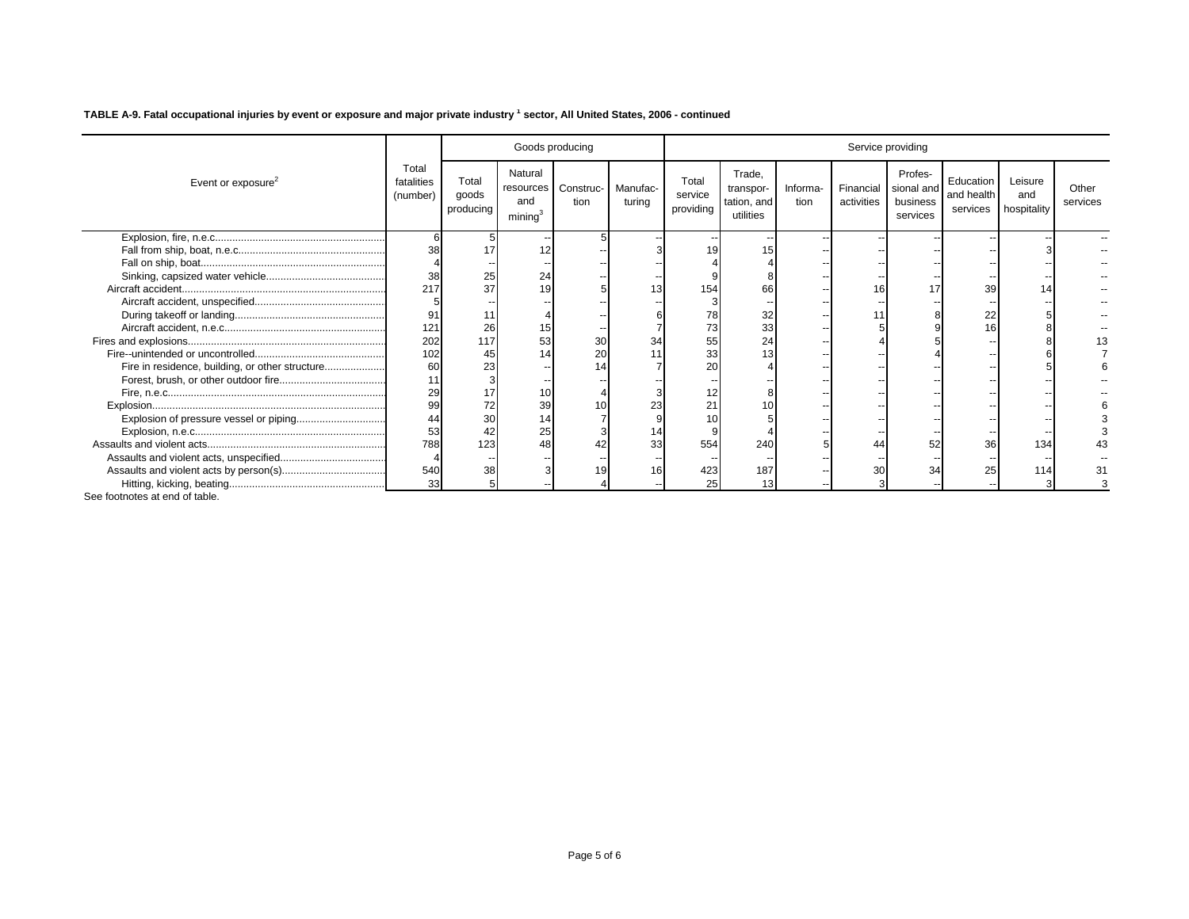|                                                 |                                 |                             |                                                    | Goods producing   |                    |                               |                                                 |                  |                         | Service providing                             |                                     |                               |                   |
|-------------------------------------------------|---------------------------------|-----------------------------|----------------------------------------------------|-------------------|--------------------|-------------------------------|-------------------------------------------------|------------------|-------------------------|-----------------------------------------------|-------------------------------------|-------------------------------|-------------------|
| Event or exposure <sup>2</sup>                  | Total<br>fatalities<br>(number) | Total<br>goods<br>producing | Natural<br>resources<br>and<br>minima <sup>3</sup> | Construc-<br>tion | Manufac-<br>turing | Total<br>service<br>providing | Trade.<br>transpor-<br>tation, and<br>utilities | Informa-<br>tion | Financial<br>activities | Profes-<br>sional and<br>business<br>services | Education<br>and health<br>services | Leisure<br>and<br>hospitality | Other<br>services |
|                                                 |                                 |                             |                                                    |                   |                    |                               |                                                 |                  |                         |                                               |                                     |                               |                   |
|                                                 | 38                              |                             | 12                                                 |                   |                    | 19                            | 15                                              |                  |                         |                                               |                                     |                               |                   |
|                                                 |                                 |                             |                                                    |                   |                    |                               |                                                 |                  |                         |                                               |                                     |                               |                   |
|                                                 | 38                              | 25                          | 24                                                 |                   |                    |                               |                                                 |                  |                         |                                               |                                     |                               |                   |
|                                                 | 217                             | 37                          | 19                                                 |                   | 13                 | 154                           | 66                                              |                  | 16                      | 17                                            | 39                                  |                               |                   |
|                                                 |                                 |                             |                                                    |                   |                    |                               |                                                 |                  |                         |                                               |                                     |                               |                   |
|                                                 | 91                              |                             |                                                    |                   |                    | 78                            | 32                                              |                  |                         |                                               | 22                                  |                               |                   |
|                                                 | 121                             | 26                          | 15                                                 |                   |                    | 73                            | 33                                              |                  |                         |                                               | 16                                  |                               |                   |
|                                                 | 202                             | 117                         | 53                                                 | 30                |                    | 55                            | 24                                              |                  |                         |                                               |                                     |                               |                   |
|                                                 | 102                             |                             |                                                    | 20                |                    | 33                            | 13                                              |                  |                         |                                               |                                     |                               |                   |
| Fire in residence, building, or other structure | 60                              |                             |                                                    |                   |                    | 20                            |                                                 |                  |                         |                                               |                                     |                               |                   |
|                                                 | 11                              |                             |                                                    |                   |                    |                               |                                                 |                  |                         |                                               |                                     |                               |                   |
|                                                 | 29                              |                             | 10                                                 |                   |                    | 12                            |                                                 |                  |                         |                                               |                                     |                               |                   |
|                                                 | 99                              |                             | 39                                                 |                   | 23                 | 21                            | 10                                              |                  |                         |                                               |                                     |                               |                   |
|                                                 | 44                              |                             |                                                    |                   |                    |                               |                                                 |                  |                         |                                               |                                     |                               |                   |
|                                                 | 53                              |                             | 25                                                 |                   | 14                 |                               |                                                 |                  |                         |                                               |                                     |                               |                   |
|                                                 | 788                             | 123                         | 48                                                 |                   | 33                 | 554                           | 240                                             |                  | 44                      | 52                                            | 36                                  | 134                           |                   |
|                                                 |                                 |                             |                                                    |                   |                    |                               |                                                 |                  |                         |                                               |                                     |                               |                   |
|                                                 | 540                             | 38                          |                                                    |                   | 16                 | 423                           | 187                                             |                  | 30                      | 34                                            | 25                                  | 114                           |                   |
|                                                 | 33                              |                             |                                                    |                   |                    | 25                            | 13                                              |                  |                         |                                               |                                     |                               |                   |
|                                                 |                                 |                             |                                                    |                   |                    |                               |                                                 |                  |                         |                                               |                                     |                               |                   |